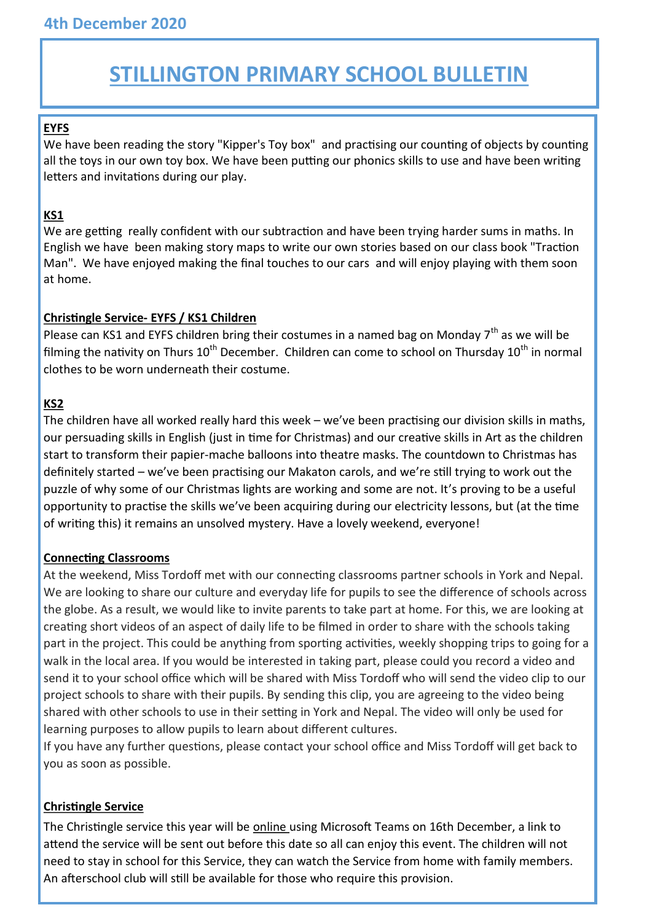# **STILLINGTON PRIMARY SCHOOL BULLETIN**

## **EYFS**

We have been reading the story "Kipper's Toy box" and practising our counting of objects by counting all the toys in our own toy box. We have been putting our phonics skills to use and have been writing letters and invitations during our play.

### **KS1**

We are getting really confident with our subtraction and have been trying harder sums in maths. In English we have been making story maps to write our own stories based on our class book "Traction Man". We have enjoyed making the final touches to our cars and will enjoy playing with them soon at home.

#### **Christingle Service- EYFS / KS1 Children**

Please can KS1 and EYFS children bring their costumes in a named bag on Monday  $7<sup>th</sup>$  as we will be filming the nativity on Thurs  $10^{th}$  December. Children can come to school on Thursday  $10^{th}$  in normal clothes to be worn underneath their costume.

## **KS2**

The children have all worked really hard this week – we've been practising our division skills in maths, our persuading skills in English (just in time for Christmas) and our creative skills in Art as the children start to transform their papier-mache balloons into theatre masks. The countdown to Christmas has definitely started – we've been practising our Makaton carols, and we're still trying to work out the puzzle of why some of our Christmas lights are working and some are not. It's proving to be a useful opportunity to practise the skills we've been acquiring during our electricity lessons, but (at the time of writing this) it remains an unsolved mystery. Have a lovely weekend, everyone!

#### **Connecting Classrooms**

At the weekend, Miss Tordoff met with our connecting classrooms partner schools in York and Nepal. We are looking to share our culture and everyday life for pupils to see the difference of schools across the globe. As a result, we would like to invite parents to take part at home. For this, we are looking at creating short videos of an aspect of daily life to be filmed in order to share with the schools taking part in the project. This could be anything from sporting activities, weekly shopping trips to going for a walk in the local area. If you would be interested in taking part, please could you record a video and send it to your school office which will be shared with Miss Tordoff who will send the video clip to our project schools to share with their pupils. By sending this clip, you are agreeing to the video being shared with other schools to use in their setting in York and Nepal. The video will only be used for learning purposes to allow pupils to learn about different cultures.

If you have any further questions, please contact your school office and Miss Tordoff will get back to you as soon as possible.

#### **Christingle Service**

The Christingle service this year will be online using Microsoft Teams on 16th December, a link to attend the service will be sent out before this date so all can enjoy this event. The children will not need to stay in school for this Service, they can watch the Service from home with family members. An afterschool club will still be available for those who require this provision.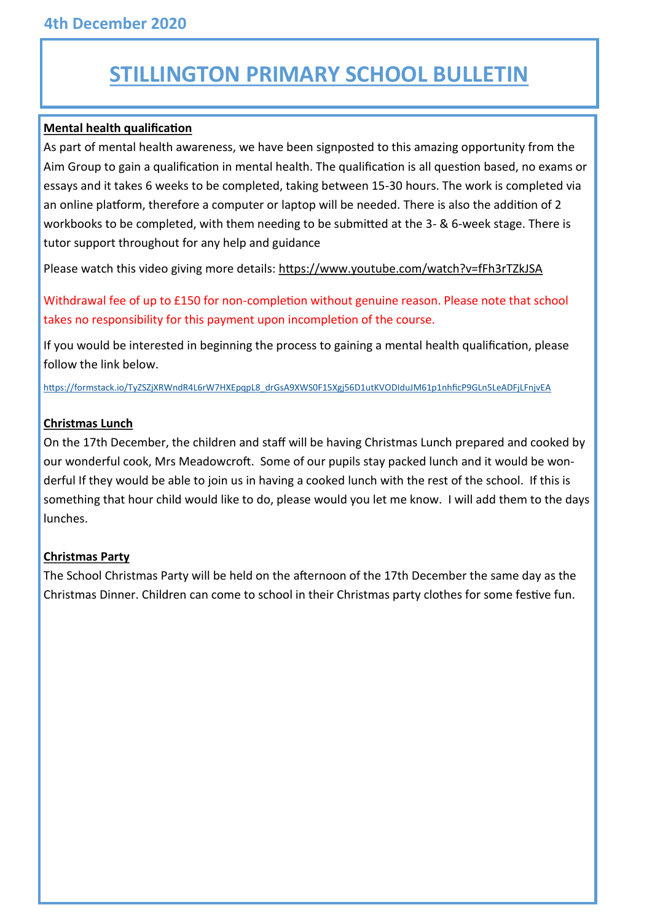# **STILLINGTON PRIMARY SCHOOL BULLETIN**

#### **Mental health qualification**

As part of mental health awareness, we have been signposted to this amazing opportunity from the Aim Group to gain a qualification in mental health. The qualification is all question based, no exams or essays and it takes 6 weeks to be completed, taking between 15-30 hours. The work is completed via an online platform, therefore a computer or laptop will be needed. There is also the addition of 2 workbooks to be completed, with them needing to be submitted at the 3- & 6-week stage. There is tutor support throughout for any help and guidance

Please watch this video giving more details: <https://www.youtube.com/watch?v=fFh3rTZkJSA>

Withdrawal fee of up to £150 for non-completion without genuine reason. Please note that school takes no responsibility for this payment upon incompletion of the course.

If you would be interested in beginning the process to gaining a mental health qualification, please follow the link below.

[https://formstack.io/TyZSZjXRWndR4L6rW7HXEpqpL8\\_drGsA9XWS0F15Xgj56D1utKVODIduJM61p1nhficP9GLn5LeADFjLFnjvEA](https://formstack.io/TyZSZjXRWndR4L6rW7HXEpqpL8_drGsA9XWS0F15Xgj56D1utKVODIduJM61p1nhficP9GLn5LeADFjLFnjvEA)

#### **Christmas Lunch**

On the 17th December, the children and staff will be having Christmas Lunch prepared and cooked by our wonderful cook, Mrs Meadowcroft. Some of our pupils stay packed lunch and it would be wonderful If they would be able to join us in having a cooked lunch with the rest of the school. If this is something that hour child would like to do, please would you let me know. I will add them to the days lunches.

#### **Christmas Party**

The School Christmas Party will be held on the afternoon of the 17th December the same day as the Christmas Dinner. Children can come to school in their Christmas party clothes for some festive fun.